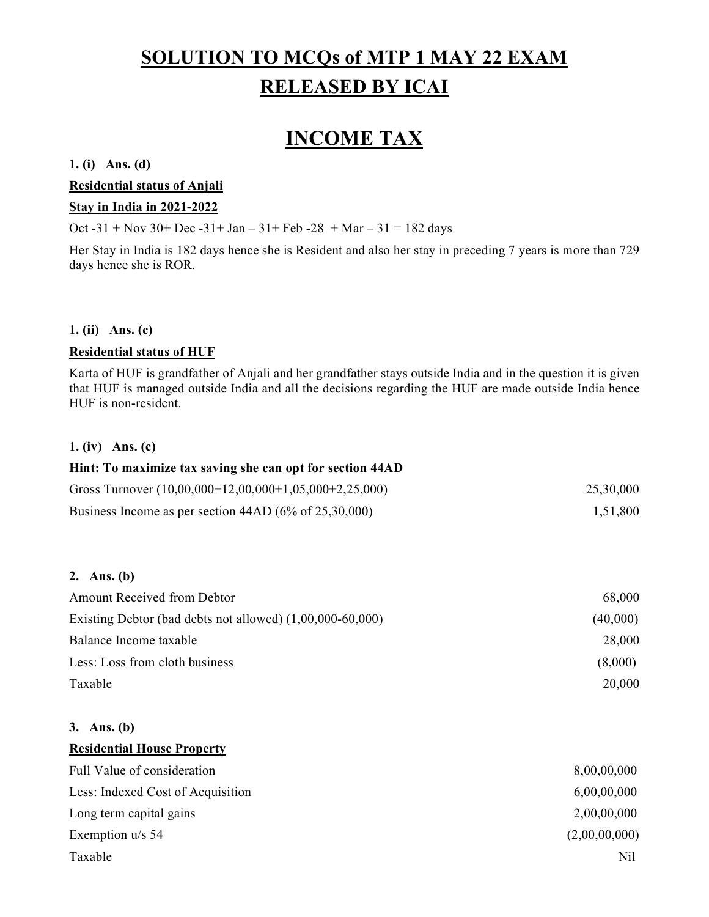# SOLUTION TO MCQs of MTP 1 MAY 22 EXAM RELEASED BY ICAI

# INCOME TAX

# 1. (i) Ans. (d)

Residential status of Anjali

# Stay in India in 2021-2022

Oct -31 + Nov 30+ Dec -31+ Jan – 31+ Feb -28 + Mar – 31 = 182 days

Her Stay in India is 182 days hence she is Resident and also her stay in preceding 7 years is more than 729 days hence she is ROR.

# 1. (ii) Ans. (c)

# Residential status of HUF

Karta of HUF is grandfather of Anjali and her grandfather stays outside India and in the question it is given that HUF is managed outside India and all the decisions regarding the HUF are made outside India hence HUF is non-resident.

# 1. (iv) Ans. (c)

| Hint: To maximize tax saving she can opt for section 44AD         |           |
|-------------------------------------------------------------------|-----------|
| Gross Turnover $(10,00,000+12,00,000+1,05,000+2,25,000)$          | 25,30,000 |
| Business Income as per section $44AD (6\% \text{ of } 25,30,000)$ | 1,51,800  |

## 2. Ans. (b)

| <b>Amount Received from Debtor</b>                          | 68,000   |
|-------------------------------------------------------------|----------|
| Existing Debtor (bad debts not allowed) $(1,00,000-60,000)$ | (40,000) |
| Balance Income taxable                                      | 28,000   |
| Less: Loss from cloth business                              | (8,000)  |
| Taxable                                                     | 20,000   |

#### 3. Ans. (b)

| <b>Residential House Property</b> |               |
|-----------------------------------|---------------|
| Full Value of consideration       | 8,00,00,000   |
| Less: Indexed Cost of Acquisition | 6,00,00,000   |
| Long term capital gains           | 2,00,00,000   |
| Exemption $u/s$ 54                | (2,00,00,000) |
| Taxable                           | Nil           |